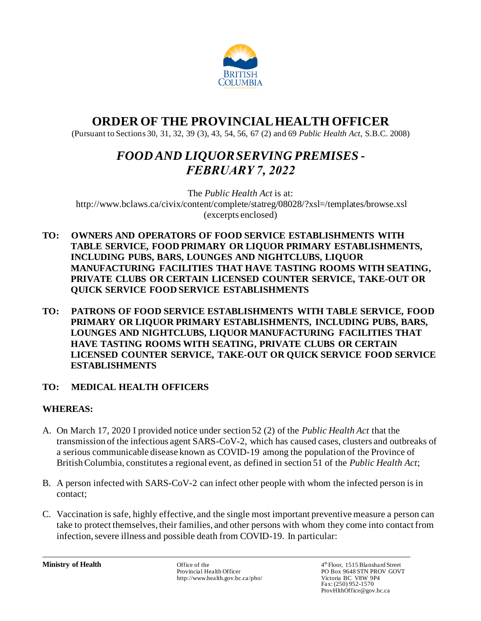

# **ORDER OF THE PROVINCIALHEALTH OFFICER**

(Pursuant to Sections 30, 31, 32, 39 (3), 43, 54, 56, 67 (2) and 69 *Public Health Act*, S.B.C. 2008)

# *FOOD AND LIQUOR SERVING PREMISES - FEBRUARY 7, 2022*

The *Public Health Act* is at: <http://www.bclaws.ca/civix/content/complete/statreg/08028/?xsl=/templates/browse.xsl> (excerpts enclosed)

- **TO: OWNERS AND OPERATORS OF FOOD SERVICE ESTABLISHMENTS WITH TABLE SERVICE, FOOD PRIMARY OR LIQUOR PRIMARY ESTABLISHMENTS, INCLUDING PUBS, BARS, LOUNGES AND NIGHTCLUBS, LIQUOR MANUFACTURING FACILITIES THAT HAVE TASTING ROOMS WITH SEATING, PRIVATE CLUBS OR CERTAIN LICENSED COUNTER SERVICE, TAKE-OUT OR QUICK SERVICE FOOD SERVICE ESTABLISHMENTS**
- **TO: PATRONS OF FOOD SERVICE ESTABLISHMENTS WITH TABLE SERVICE, FOOD PRIMARY OR LIQUOR PRIMARY ESTABLISHMENTS, INCLUDING PUBS, BARS, LOUNGES AND NIGHTCLUBS, LIQUOR MANUFACTURING FACILITIES THAT HAVE TASTING ROOMS WITH SEATING, PRIVATE CLUBS OR CERTAIN LICENSED COUNTER SERVICE, TAKE-OUT OR QUICK SERVICE FOOD SERVICE ESTABLISHMENTS**

## **TO: MEDICAL HEALTH OFFICERS**

## **WHEREAS:**

- A. On March 17, 2020 I provided notice under section 52 (2) of the *Public Health Act* that the transmission of the infectious agent SARS-CoV-2, which has caused cases, clusters and outbreaks of a serious communicable disease known as COVID-19 among the population of the Province of British Columbia, constitutes a regional event, as defined in section 51 of the *Public Health Act*;
- B. A person infected with SARS-CoV-2 can infect other people with whom the infected person is in contact;
- C. Vaccination is safe, highly effective, and the single most important preventive measure a person can take to protect themselves, their families, and other persons with whom they come into contact from infection, severe illness and possible death from COVID-19. In particular:

**Ministry of Health** Office of the 4 Office of the 4 Officer http://www.health.gov.bc.ca/pho/ 4<sup>th</sup> Floor, 1515 Blanshard Street PO Box 9648 STN PROV GOVT<br>Victoria BC V8W 9P4 Fax: (250) 952-1570 ProvHlthOffice@gov.bc.ca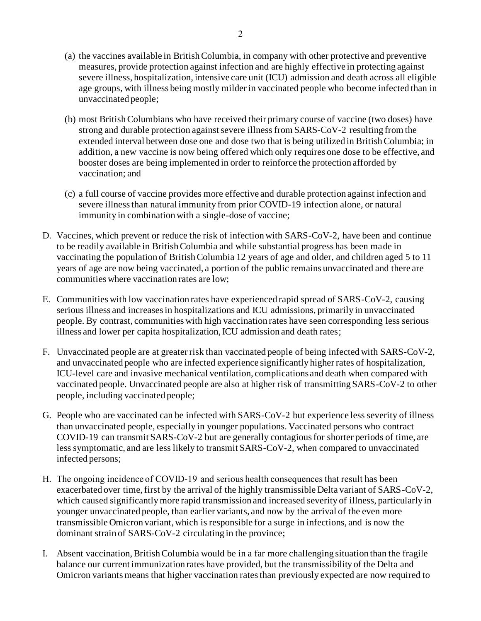- (a) the vaccines available in British Columbia, in company with other protective and preventive measures, provide protection against infection and are highly effective in protecting against severe illness, hospitalization, intensive care unit (ICU) admission and death across all eligible age groups, with illness being mostly milder in vaccinated people who become infected than in unvaccinated people;
- (b) most British Columbians who have received their primary course of vaccine (two doses) have strong and durable protection against severe illnessfrom SARS-CoV-2 resulting from the extended interval between dose one and dose two that is being utilized in British Columbia; in addition, a new vaccine is now being offered which only requires one dose to be effective, and booster doses are being implemented in order to reinforce the protection afforded by vaccination; and
- (c) a full course of vaccine provides more effective and durable protection against infection and severe illness than natural immunity from prior COVID-19 infection alone, or natural immunity in combination with a single-dose of vaccine;
- D. Vaccines, which prevent or reduce the risk of infection with SARS-CoV-2, have been and continue to be readily available in British Columbia and while substantial progress has been made in vaccinating the population of British Columbia 12 years of age and older, and children aged 5 to 11 years of age are now being vaccinated, a portion of the public remains unvaccinated and there are communities where vaccination rates are low;
- E. Communities with low vaccination rates have experienced rapid spread of SARS-CoV-2, causing serious illness and increases in hospitalizations and ICU admissions, primarily in unvaccinated people. By contrast, communities with high vaccination rates have seen corresponding less serious illness and lower per capita hospitalization, ICU admission and death rates;
- F. Unvaccinated people are at greater risk than vaccinated people of being infected with SARS-CoV-2, and unvaccinated people who are infected experience significantly higher rates of hospitalization, ICU-level care and invasive mechanical ventilation, complications and death when compared with vaccinated people. Unvaccinated people are also at higher risk of transmitting SARS-CoV-2 to other people, including vaccinated people;
- G. People who are vaccinated can be infected with SARS-CoV-2 but experience less severity of illness than unvaccinated people, especially in younger populations. Vaccinated persons who contract COVID-19 can transmit SARS-CoV-2 but are generally contagious for shorter periods of time, are less symptomatic, and are less likely to transmit SARS-CoV-2, when compared to unvaccinated infected persons;
- H. The ongoing incidence of COVID-19 and serious health consequences that result has been exacerbated over time, first by the arrival of the highly transmissible Delta variant of SARS-CoV-2, which caused significantly more rapid transmission and increased severity of illness, particularly in younger unvaccinated people, than earlier variants, and now by the arrival of the even more transmissible Omicron variant, which is responsible for a surge in infections, and is now the dominant strain of SARS-CoV-2 circulating in the province;
- I. Absent vaccination, British Columbia would be in a far more challenging situation than the fragile balance our current immunization rates have provided, but the transmissibility of the Delta and Omicron variants means that higher vaccination rates than previously expected are now required to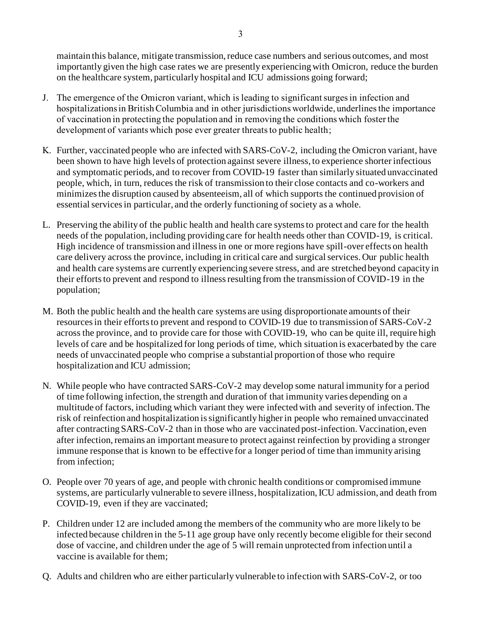maintain this balance, mitigate transmission, reduce case numbers and serious outcomes, and most importantly given the high case rates we are presently experiencing with Omicron, reduce the burden on the healthcare system, particularly hospital and ICU admissions going forward;

- J. The emergence of the Omicron variant, which is leading to significant surges in infection and hospitalizations in British Columbia and in other jurisdictions worldwide, underlines the importance of vaccination in protecting the population and in removing the conditions which foster the development of variants which pose ever greater threats to public health;
- K. Further, vaccinated people who are infected with SARS-CoV-2, including the Omicron variant, have been shown to have high levels of protection against severe illness, to experience shorter infectious and symptomatic periods, and to recover from COVID-19 faster than similarly situated unvaccinated people, which, in turn, reduces the risk of transmission to their close contacts and co-workers and minimizes the disruption caused by absenteeism, all of which supports the continued provision of essential services in particular, and the orderly functioning of society as a whole.
- L. Preserving the ability of the public health and health care systems to protect and care for the health needs of the population, including providing care for health needs other than COVID-19, is critical. High incidence of transmission and illness in one or more regions have spill-over effects on health care delivery across the province, including in critical care and surgical services. Our public health and health care systems are currently experiencing severe stress, and are stretched beyond capacity in their efforts to prevent and respond to illness resulting from the transmission of COVID-19 in the population;
- M. Both the public health and the health care systems are using disproportionate amounts of their resources in their efforts to prevent and respond to COVID-19 due to transmission of SARS-CoV-2 across the province, and to provide care for those with COVID-19, who can be quite ill, require high levels of care and be hospitalized for long periods of time, which situation is exacerbated by the care needs of unvaccinated people who comprise a substantial proportion of those who require hospitalization and ICU admission;
- N. While people who have contracted SARS-CoV-2 may develop some natural immunity for a period of time following infection, the strength and duration of that immunity varies depending on a multitude of factors, including which variant they were infected with and severity of infection. The risk of reinfection and hospitalization is significantly higher in people who remained unvaccinated after contracting SARS-CoV-2 than in those who are vaccinated post-infection. Vaccination, even after infection, remains an important measure to protect against reinfection by providing a stronger immune response that is known to be effective for a longer period of time than immunity arising from infection;
- O. People over 70 years of age, and people with chronic health conditions or compromised immune systems, are particularly vulnerable to severe illness, hospitalization, ICU admission, and death from COVID-19, even if they are vaccinated;
- P. Children under 12 are included among the members of the community who are more likely to be infected because children in the 5-11 age group have only recently become eligible for their second dose of vaccine, and children under the age of 5 will remain unprotected from infection until a vaccine is available for them;
- Q. Adults and children who are either particularly vulnerable to infection with SARS-CoV-2, or too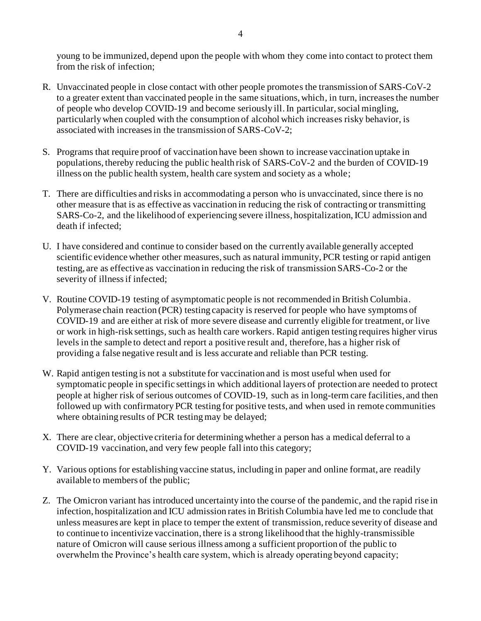young to be immunized, depend upon the people with whom they come into contact to protect them from the risk of infection;

- R. Unvaccinated people in close contact with other people promotes the transmission of SARS-CoV-2 to a greater extent than vaccinated people in the same situations, which, in turn, increasesthe number of people who develop COVID-19 and become seriously ill. In particular, social mingling, particularly when coupled with the consumption of alcohol which increases risky behavior, is associated with increases in the transmission of SARS-CoV-2;
- S. Programs that require proof of vaccination have been shown to increase vaccination uptake in populations, thereby reducing the public health risk of SARS-CoV-2 and the burden of COVID-19 illness on the public health system, health care system and society as a whole;
- T. There are difficulties and risks in accommodating a person who is unvaccinated, since there is no other measure that is as effective as vaccination in reducing the risk of contracting or transmitting SARS-Co-2, and the likelihood of experiencing severe illness, hospitalization, ICU admission and death if infected;
- U. I have considered and continue to consider based on the currently available generally accepted scientific evidence whether other measures, such as natural immunity, PCR testing or rapid antigen testing, are as effective as vaccination in reducing the risk of transmission SARS-Co-2 or the severity of illness if infected;
- V. Routine COVID-19 testing of asymptomatic people is not recommended in British Columbia. Polymerase chain reaction (PCR) testing capacity is reserved for people who have symptoms of COVID-19 and are either at risk of more severe disease and currently eligible for treatment, or live or work in high-risk settings, such as health care workers. Rapid antigen testing requires higher virus levels in the sample to detect and report a positive result and, therefore, has a higher risk of providing a false negative result and is less accurate and reliable than PCR testing.
- W. Rapid antigen testing is not a substitute for vaccination and is most useful when used for symptomatic people in specific settings in which additional layers of protection are needed to protect people at higher risk of serious outcomes of COVID-19, such as in long-term care facilities, and then followed up with confirmatory PCR testing for positive tests, and when used in remote communities where obtaining results of PCR testing may be delayed;
- X. There are clear, objective criteria for determining whether a person has a medical deferral to a COVID-19 vaccination, and very few people fall into this category;
- Y. Various options for establishing vaccine status, including in paper and online format, are readily available to members of the public;
- Z. The Omicron variant has introduced uncertainty into the course of the pandemic, and the rapid rise in infection, hospitalization and ICU admission rates in British Columbia have led me to conclude that unless measures are kept in place to temper the extent of transmission, reduce severity of disease and to continue to incentivize vaccination, there is a strong likelihood that the highly-transmissible nature of Omicron will cause serious illness among a sufficient proportion of the public to overwhelm the Province's health care system, which is already operating beyond capacity;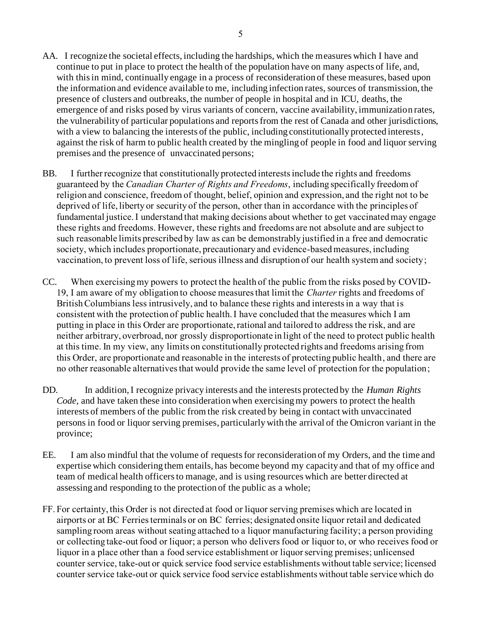- AA. I recognize the societal effects, including the hardships, which the measures which I have and continue to put in place to protect the health of the population have on many aspects of life, and, with this in mind, continually engage in a process of reconsideration of these measures, based upon the information and evidence available to me, including infection rates, sources of transmission, the presence of clusters and outbreaks, the number of people in hospital and in ICU, deaths, the emergence of and risks posed by virus variants of concern, vaccine availability, immunization rates, the vulnerability of particular populations and reports from the rest of Canada and other jurisdictions, with a view to balancing the interests of the public, including constitutionally protected interests, against the risk of harm to public health created by the mingling of people in food and liquor serving premises and the presence of unvaccinated persons;
- BB. I further recognize that constitutionally protected interests include the rights and freedoms guaranteed by the *Canadian Charter of Rights and Freedoms*, including specifically freedom of religion and conscience, freedom of thought, belief, opinion and expression, and the right not to be deprived of life, liberty or security of the person, other than in accordance with the principles of fundamental justice. I understand that making decisions about whether to get vaccinated may engage these rights and freedoms. However, these rights and freedoms are not absolute and are subject to such reasonable limits prescribed by law as can be demonstrably justified in a free and democratic society, which includes proportionate, precautionary and evidence-based measures, including vaccination, to prevent loss of life, serious illness and disruption of our health system and society;
- CC. When exercising my powers to protect the health of the public from the risks posed by COVID-19, I am aware of my obligation to choose measures that limit the *Charter* rights and freedoms of British Columbians less intrusively, and to balance these rights and interests in a way that is consistent with the protection of public health. I have concluded that the measures which I am putting in place in this Order are proportionate, rational and tailored to address the risk, and are neither arbitrary, overbroad, nor grossly disproportionate in light of the need to protect public health at this time. In my view, any limits on constitutionally protected rights and freedoms arising from this Order, are proportionate and reasonable in the interests of protecting public health, and there are no other reasonable alternatives that would provide the same level of protection for the population;
- DD. In addition, I recognize privacy interests and the interests protected by the *Human Rights Code*, and have taken these into consideration when exercising my powers to protect the health interests of members of the public from the risk created by being in contact with unvaccinated persons in food or liquor serving premises, particularly with the arrival of the Omicron variant in the province;
- EE. I am also mindful that the volume of requests for reconsideration of my Orders, and the time and expertise which considering them entails, has become beyond my capacity and that of my office and team of medical health officers to manage, and is using resources which are better directed at assessing and responding to the protection of the public as a whole;
- FF. For certainty, this Order is not directed at food or liquor serving premises which are located in airports or at BC Ferries terminals or on BC ferries; designated onsite liquor retail and dedicated sampling room areas without seating attached to a liquor manufacturing facility; a person providing or collecting take-out food or liquor; a person who deliversfood or liquor to, or who receives food or liquor in a place other than a food service establishment or liquor serving premises; unlicensed counter service, take-out or quick service food service establishments without table service; licensed counter service take-out or quick service food service establishments without table service which do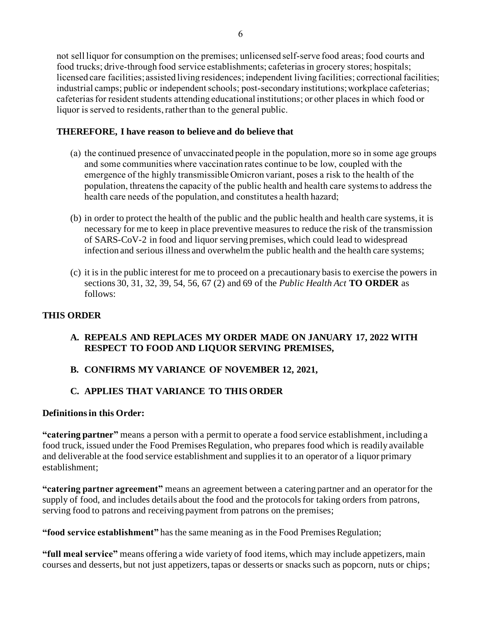not sell liquor for consumption on the premises; unlicensed self-serve food areas; food courts and food trucks; drive-through food service establishments; cafeterias in grocery stores; hospitals; licensed care facilities; assisted living residences; independent living facilities; correctional facilities; industrial camps; public or independent schools; post-secondary institutions;workplace cafeterias; cafeterias for resident students attending educational institutions; or other places in which food or liquor is served to residents, rather than to the general public.

## **THEREFORE, I have reason to believe and do believe that**

- (a) the continued presence of unvaccinated people in the population, more so in some age groups and some communities where vaccination rates continue to be low, coupled with the emergence of the highly transmissible Omicron variant, poses a risk to the health of the population, threatens the capacity of the public health and health care systems to address the health care needs of the population, and constitutes a health hazard;
- (b) in order to protect the health of the public and the public health and health care systems, it is necessary for me to keep in place preventive measures to reduce the risk of the transmission of SARS-CoV-2 in food and liquor serving premises, which could lead to widespread infection and serious illness and overwhelm the public health and the health care systems;
- (c) it is in the public interest for me to proceed on a precautionary basis to exercise the powers in sections 30, 31, 32, 39, 54, 56, 67 (2) and 69 of the *Public Health Act* **TO ORDER** as follows:

## **THIS ORDER**

## **A. REPEALS AND REPLACES MY ORDER MADE ON JANUARY 17, 2022 WITH RESPECT TO FOOD AND LIQUOR SERVING PREMISES,**

# **B. CONFIRMS MY VARIANCE OF NOVEMBER 12, 2021,**

# **C. APPLIES THAT VARIANCE TO THIS ORDER**

## **Definitionsin this Order:**

**"catering partner"** means a person with a permit to operate a food service establishment, including a food truck, issued under the Food Premises Regulation, who prepares food which is readily available and deliverable at the food service establishment and supplies it to an operator of a liquor primary establishment;

**"catering partner agreement"** means an agreement between a catering partner and an operator for the supply of food, and includes details about the food and the protocols for taking orders from patrons, serving food to patrons and receiving payment from patrons on the premises;

**"food service establishment"** has the same meaning as in the Food Premises Regulation;

**"full meal service"** means offering a wide variety of food items, which may include appetizers, main courses and desserts, but not just appetizers, tapas or desserts or snacks such as popcorn, nuts or chips;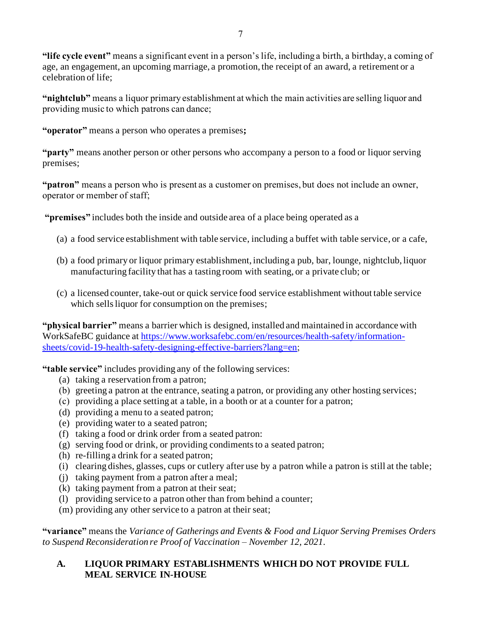**"life cycle event"** means a significant event in a person's life, including a birth, a birthday, a coming of age, an engagement, an upcoming marriage, a promotion, the receipt of an award, a retirement or a celebration of life;

**"nightclub"** means a liquor primary establishment at which the main activities are selling liquor and providing music to which patrons can dance;

**"operator"** means a person who operates a premises**;**

**"party"** means another person or other persons who accompany a person to a food or liquor serving premises;

**"patron"** means a person who is present as a customer on premises, but does not include an owner, operator or member of staff;

**"premises"** includes both the inside and outside area of a place being operated as a

- (a) a food service establishment with table service, including a buffet with table service, or a cafe,
- (b) a food primary or liquor primary establishment, including a pub, bar, lounge, nightclub, liquor manufacturing facility that has a tasting room with seating, or a private club; or
- (c) a licensed counter, take-out or quick service food service establishment without table service which sells liquor for consumption on the premises;

**"physical barrier"** means a barrier which is designed, installed and maintained in accordance with WorkSafeBC guidance at [https://www.worksafebc.com/en/resources/health-safety/information](https://www.worksafebc.com/en/resources/health-safety/information-sheets/covid-19-health-safety-designing-effective-barriers?lang=en)[sheets/covid-19-health-safety-designing-effective-barriers?lang=en](https://www.worksafebc.com/en/resources/health-safety/information-sheets/covid-19-health-safety-designing-effective-barriers?lang=en);

**"table service"** includes providing any of the following services:

- (a) taking a reservation from a patron;
- (b) greeting a patron at the entrance, seating a patron, or providing any other hosting services;
- (c) providing a place setting at a table, in a booth or at a counter for a patron;
- (d) providing a menu to a seated patron;
- (e) providing water to a seated patron;
- (f) taking a food or drink order from a seated patron:
- $(g)$  serving food or drink, or providing condiments to a seated patron;
- (h) re-filling a drink for a seated patron;
- (i) clearing dishes, glasses, cups or cutlery after use by a patron while a patron is still at the table;
- (j) taking payment from a patron after a meal;
- (k) taking payment from a patron at their seat;
- (l) providing service to a patron other than from behind a counter;
- (m) providing any other service to a patron at their seat;

**"variance"** means the *Variance of Gatherings and Events & Food and Liquor Serving Premises Orders to Suspend Reconsideration re Proof of Vaccination – November 12, 2021*.

#### **A. LIQUOR PRIMARY ESTABLISHMENTS WHICH DO NOT PROVIDE FULL MEAL SERVICE IN-HOUSE**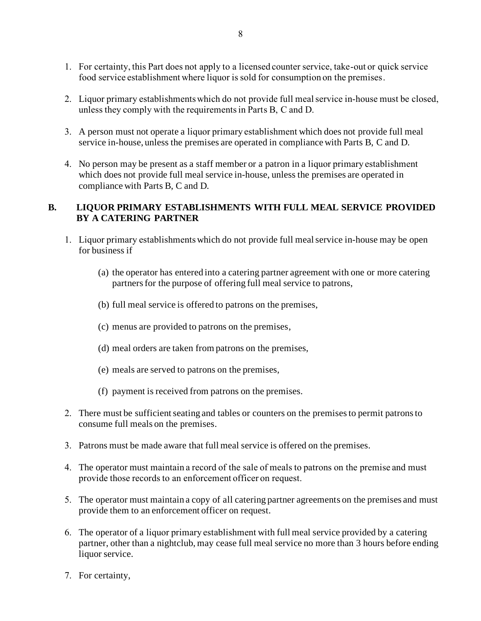- 1. For certainty, this Part does not apply to a licensed counter service, take-out or quick service food service establishment where liquor is sold for consumption on the premises.
- 2. Liquor primary establishmentswhich do not provide full meal service in-house must be closed, unless they comply with the requirements in Parts B, C and D.
- 3. A person must not operate a liquor primary establishment which does not provide full meal service in-house, unless the premises are operated in compliance with Parts B, C and D.
- 4. No person may be present as a staff member or a patron in a liquor primary establishment which does not provide full meal service in-house, unless the premises are operated in compliance with Parts B, C and D.

#### **B. LIQUOR PRIMARY ESTABLISHMENTS WITH FULL MEAL SERVICE PROVIDED BY A CATERING PARTNER**

- 1. Liquor primary establishmentswhich do not provide full meal service in-house may be open for business if
	- (a) the operator has entered into a catering partner agreement with one or more catering partners for the purpose of offering full meal service to patrons,
	- (b) full meal service is offered to patrons on the premises,
	- (c) menus are provided to patrons on the premises,
	- (d) meal orders are taken from patrons on the premises,
	- (e) meals are served to patrons on the premises,
	- (f) payment is received from patrons on the premises.
- 2. There must be sufficient seating and tables or counters on the premisesto permit patrons to consume full meals on the premises.
- 3. Patrons must be made aware that full meal service is offered on the premises.
- 4. The operator must maintain a record of the sale of meals to patrons on the premise and must provide those records to an enforcement officer on request.
- 5. The operator must maintain a copy of all catering partner agreements on the premises and must provide them to an enforcement officer on request.
- 6. The operator of a liquor primary establishment with full meal service provided by a catering partner, other than a nightclub, may cease full meal service no more than 3 hours before ending liquor service.
- 7. For certainty,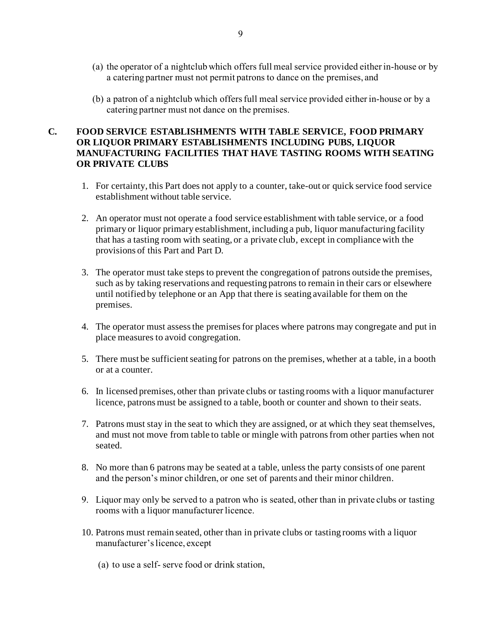- (a) the operator of a nightclub which offers full meal service provided either in-house or by a catering partner must not permit patrons to dance on the premises, and
- (b) a patron of a nightclub which offers full meal service provided either in-house or by a catering partner must not dance on the premises.

#### **C. FOOD SERVICE ESTABLISHMENTS WITH TABLE SERVICE, FOOD PRIMARY OR LIQUOR PRIMARY ESTABLISHMENTS INCLUDING PUBS, LIQUOR MANUFACTURING FACILITIES THAT HAVE TASTING ROOMS WITH SEATING OR PRIVATE CLUBS**

- 1. For certainty, this Part does not apply to a counter, take-out or quick service food service establishment without table service.
- 2. An operator must not operate a food service establishment with table service, or a food primary or liquor primary establishment, including a pub, liquor manufacturing facility that has a tasting room with seating, or a private club, except in compliance with the provisions of this Part and Part D.
- 3. The operator must take steps to prevent the congregation of patrons outside the premises, such as by taking reservations and requesting patrons to remain in their cars or elsewhere until notified by telephone or an App that there is seating available for them on the premises.
- 4. The operator must assess the premises for places where patrons may congregate and put in place measures to avoid congregation.
- 5. There must be sufficient seating for patrons on the premises, whether at a table, in a booth or at a counter.
- 6. In licensed premises, other than private clubs or tasting rooms with a liquor manufacturer licence, patrons must be assigned to a table, booth or counter and shown to their seats.
- 7. Patrons must stay in the seat to which they are assigned, or at which they seat themselves, and must not move from table to table or mingle with patrons from other parties when not seated.
- 8. No more than 6 patrons may be seated at a table, unless the party consists of one parent and the person's minor children, or one set of parents and their minor children.
- 9. Liquor may only be served to a patron who is seated, other than in private clubs or tasting rooms with a liquor manufacturer licence.
- 10. Patrons must remain seated, other than in private clubs or tasting rooms with a liquor manufacturer's licence, except
	- (a) to use a self- serve food or drink station,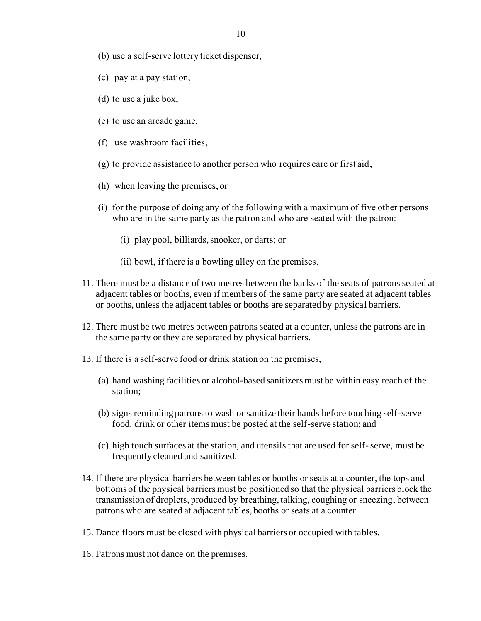- (b) use a self-serve lottery ticket dispenser,
- (c) pay at a pay station,
- (d) to use a juke box,
- (e) to use an arcade game,
- (f) use washroom facilities,
- (g) to provide assistance to another person who requires care or first aid,
- (h) when leaving the premises, or
- (i) for the purpose of doing any of the following with a maximum of five other persons who are in the same party as the patron and who are seated with the patron:
	- (i) play pool, billiards, snooker, or darts; or
	- (ii) bowl, if there is a bowling alley on the premises.
- 11. There must be a distance of two metres between the backs of the seats of patrons seated at adjacent tables or booths, even if members of the same party are seated at adjacent tables or booths, unless the adjacent tables or booths are separated by physical barriers.
- 12. There must be two metres between patrons seated at a counter, unless the patrons are in the same party or they are separated by physical barriers.
- 13. If there is a self-serve food or drink station on the premises,
	- (a) hand washing facilities or alcohol-based sanitizers must be within easy reach of the station;
	- (b) signs reminding patrons to wash or sanitize their hands before touching self-serve food, drink or other items must be posted at the self-serve station; and
	- (c) high touch surfaces at the station, and utensils that are used for self-serve, must be frequently cleaned and sanitized.
- 14. If there are physical barriers between tables or booths or seats at a counter, the tops and bottoms of the physical barriers must be positioned so that the physical barriers block the transmission of droplets, produced by breathing, talking, coughing or sneezing, between patrons who are seated at adjacent tables, booths or seats at a counter.
- 15. Dance floors must be closed with physical barriers or occupied with tables.
- 16. Patrons must not dance on the premises.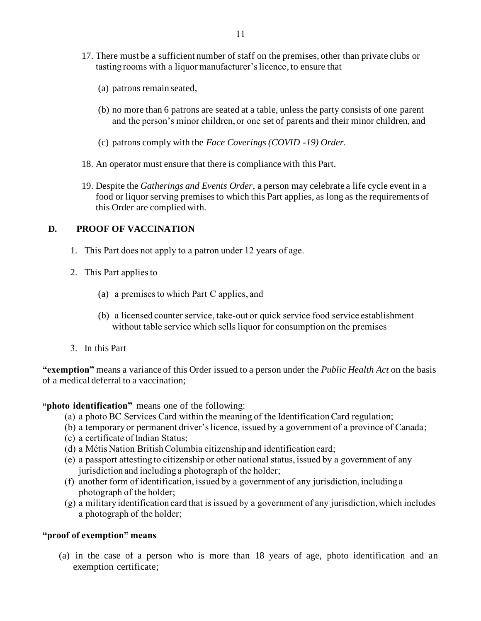- 17. There must be a sufficient number of staff on the premises, other than private clubs or tasting rooms with a liquor manufacturer's licence, to ensure that
	- (a) patrons remain seated,
	- (b) no more than 6 patrons are seated at a table, unless the party consists of one parent and the person's minor children, or one set of parents and their minor children, and
	- (c) patrons comply with the *Face Coverings (COVID -19) Order.*
- 18. An operator must ensure that there is compliance with this Part.
- 19. Despite the *Gatherings and Events Order*, a person may celebrate a life cycle event in a food or liquor serving premises to which this Part applies, as long as the requirements of this Order are complied with.

#### **D. PROOF OF VACCINATION**

- 1. This Part does not apply to a patron under 12 years of age.
- 2. This Part applies to
	- (a) a premises to which Part C applies, and
	- (b) a licensed counter service, take-out or quick service food service establishment without table service which sells liquor for consumption on the premises
- 3. In this Part

**"exemption"** means a variance of this Order issued to a person under the *Public Health Act* on the basis of a medical deferral to a vaccination;

**"photo identification"** means one of the following:

- (a) a photo BC Services Card within the meaning of the Identification Card regulation;
- (b) a temporary or permanent driver's licence, issued by a government of a province of Canada;
- (c) a certificate of Indian Status;
- (d) a Métis Nation British Columbia citizenship and identification card;
- (e) a passport attesting to citizenship or other national status, issued by a government of any jurisdiction and including a photograph of the holder;
- (f) another form of identification, issued by a government of any jurisdiction, including a photograph of the holder;
- (g) a military identification card that is issued by a government of any jurisdiction, which includes a photograph of the holder;

#### **"proof of exemption" means**

(a) in the case of a person who is more than 18 years of age, photo identification and an exemption certificate;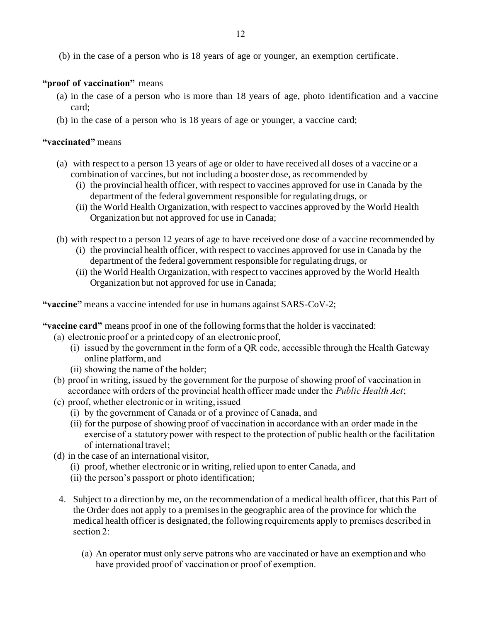(b) in the case of a person who is 18 years of age or younger, an exemption certificate.

#### **"proof of vaccination"** means

- (a) in the case of a person who is more than 18 years of age, photo identification and a vaccine card;
- (b) in the case of a person who is 18 years of age or younger, a vaccine card;

#### **"vaccinated"** means

- (a) with respect to a person 13 years of age or older to have received all doses of a vaccine or a combination of vaccines, but not including a booster dose, as recommended by
	- (i) the provincial health officer, with respect to vaccines approved for use in Canada by the department of the federal government responsible for regulating drugs, or
	- (ii) the World Health Organization, with respect to vaccines approved by the World Health Organization but not approved for use in Canada;
- (b) with respect to a person 12 years of age to have received one dose of a vaccine recommended by
	- (i) the provincial health officer, with respect to vaccines approved for use in Canada by the department of the federal government responsible for regulating drugs, or
	- (ii) the World Health Organization, with respect to vaccines approved by the World Health Organization but not approved for use in Canada;

**"vaccine"** means a vaccine intended for use in humans against SARS-CoV-2;

- **"vaccine card"** means proof in one of the following forms that the holder is vaccinated:
	- (a) electronic proof or a printed copy of an electronic proof,
		- (i) issued by the government in the form of a QR code, accessible through the Health Gateway online platform, and
		- (ii) showing the name of the holder;
	- (b) proof in writing, issued by the government for the purpose of showing proof of vaccination in accordance with orders of the provincial health officer made under the *Public Health Act*;
	- (c) proof, whether electronic or in writing, issued
		- (i) by the government of Canada or of a province of Canada, and
		- (ii) for the purpose of showing proof of vaccination in accordance with an order made in the exercise of a statutory power with respect to the protection of public health or the facilitation of international travel;
	- (d) in the case of an international visitor,
		- (i) proof, whether electronic or in writing, relied upon to enter Canada, and
		- (ii) the person's passport or photo identification;
		- 4. Subject to a direction by me, on the recommendation of a medical health officer, that this Part of the Order does not apply to a premisesin the geographic area of the province for which the medical health officer is designated, the following requirements apply to premises described in section 2:
			- (a) An operator must only serve patrons who are vaccinated or have an exemption and who have provided proof of vaccination or proof of exemption.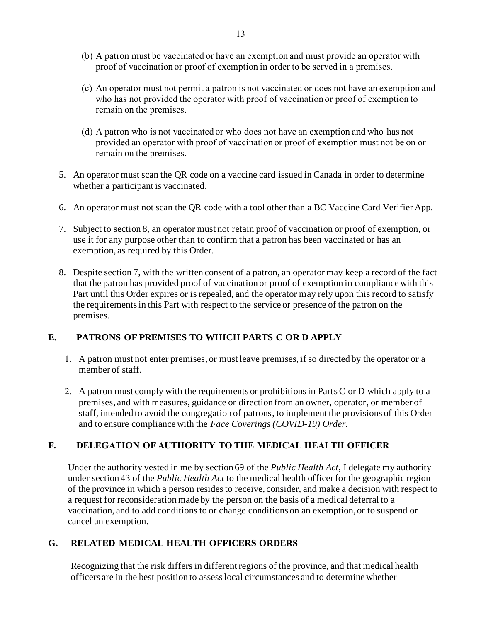- (b) A patron must be vaccinated or have an exemption and must provide an operator with proof of vaccination or proof of exemption in order to be served in a premises.
- (c) An operator must not permit a patron is not vaccinated or does not have an exemption and who has not provided the operator with proof of vaccination or proof of exemption to remain on the premises.
- (d) A patron who is not vaccinated or who does not have an exemption and who has not provided an operator with proof of vaccination or proof of exemption must not be on or remain on the premises.
- 5. An operator must scan the QR code on a vaccine card issued in Canada in order to determine whether a participant is vaccinated.
- 6. An operator must not scan the QR code with a tool other than a BC Vaccine Card Verifier App.
- 7. Subject to section 8, an operator must not retain proof of vaccination or proof of exemption, or use it for any purpose other than to confirm that a patron has been vaccinated or has an exemption, as required by this Order.
- 8. Despite section 7, with the written consent of a patron, an operator may keep a record of the fact that the patron has provided proof of vaccination or proof of exemption in compliance with this Part until this Order expires or is repealed, and the operator may rely upon this record to satisfy the requirements in this Part with respect to the service or presence of the patron on the premises.

## **E. PATRONS OF PREMISES TO WHICH PARTS C OR D APPLY**

- 1. A patron must not enter premises, or must leave premises, if so directed by the operator or a member of staff.
- 2. A patron must comply with the requirements or prohibitions in PartsC or D which apply to a premises, and with measures, guidance or direction from an owner, operator, or member of staff, intended to avoid the congregation of patrons, to implement the provisions of this Order and to ensure compliance with the *Face Coverings (COVID-19) Order.*

## **F. DELEGATION OF AUTHORITY TO THE MEDICAL HEALTH OFFICER**

Under the authority vested in me by section 69 of the *Public Health Act*, I delegate my authority under section 43 of the *Public Health Act* to the medical health officer for the geographic region of the province in which a person resides to receive, consider, and make a decision with respect to a request for reconsideration made by the person on the basis of a medical deferral to a vaccination, and to add conditions to or change conditions on an exemption, or to suspend or cancel an exemption.

#### **G. RELATED MEDICAL HEALTH OFFICERS ORDERS**

Recognizing that the risk differs in different regions of the province, and that medical health officers are in the best position to assess local circumstances and to determine whether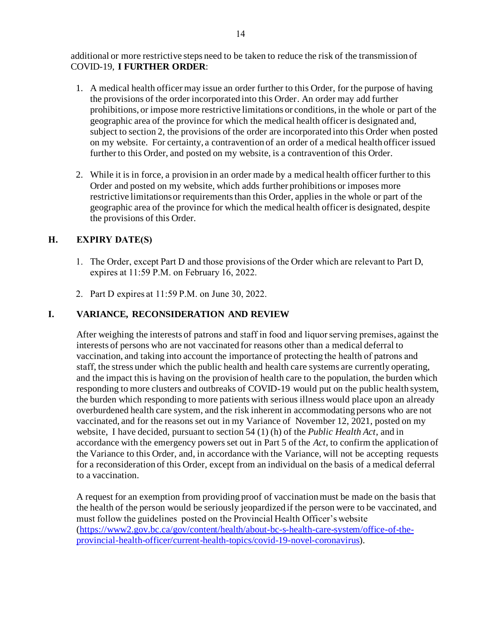additional or more restrictive steps need to be taken to reduce the risk of the transmission of COVID-19, **I FURTHER ORDER**:

- 1. A medical health officer may issue an order further to this Order, for the purpose of having the provisions of the order incorporated into this Order. An order may add further prohibitions, or impose more restrictive limitations or conditions, in the whole or part of the geographic area of the province for which the medical health officer is designated and, subject to section 2, the provisions of the order are incorporated into this Order when posted on my website. For certainty, a contravention of an order of a medical health officer issued further to this Order, and posted on my website, is a contravention of this Order.
- 2. While it is in force, a provision in an order made by a medical health officer further to this Order and posted on my website, which adds further prohibitions or imposes more restrictive limitations or requirements than this Order, applies in the whole or part of the geographic area of the province for which the medical health officer is designated, despite the provisions of this Order.

## **H. EXPIRY DATE(S)**

- 1. The Order, except Part D and those provisions of the Order which are relevant to Part D, expires at 11:59 P.M. on February 16, 2022.
- 2. Part D expires at 11:59 P.M. on June 30, 2022.

#### **I. VARIANCE, RECONSIDERATION AND REVIEW**

After weighing the interests of patrons and staff in food and liquor serving premises, against the interests of persons who are not vaccinated for reasons other than a medical deferral to vaccination, and taking into account the importance of protecting the health of patrons and staff, the stress under which the public health and health care systems are currently operating, and the impact this is having on the provision of health care to the population, the burden which responding to more clusters and outbreaks of COVID-19 would put on the public health system, the burden which responding to more patients with serious illness would place upon an already overburdened health care system, and the risk inherent in accommodating persons who are not vaccinated, and for the reasons set out in my Variance of November 12, 2021, posted on my website, I have decided, pursuant to section 54 (1) (h) of the *Public Health Act*, and in accordance with the emergency powers set out in Part 5 of the *Act*, to confirm the application of the Variance to this Order, and, in accordance with the Variance, will not be accepting requests for a reconsideration of this Order, except from an individual on the basis of a medical deferral to a vaccination.

A request for an exemption from providing proof of vaccination must be made on the basis that the health of the person would be seriously jeopardized if the person were to be vaccinated, and must follow the guidelines posted on the Provincial Health Officer's website [\(https://www2.gov.bc.ca/gov/content/health/about-bc-s-health-care-system/office-of-the](https://www2.gov.bc.ca/gov/content/health/about-bc-s-health-care-system/office-of-the-provincial-health-officer/current-health-topics/covid-19-novel-coronavirus)[provincial-health-officer/current-health-topics/covid-19-novel-coronavirus\)](https://www2.gov.bc.ca/gov/content/health/about-bc-s-health-care-system/office-of-the-provincial-health-officer/current-health-topics/covid-19-novel-coronavirus).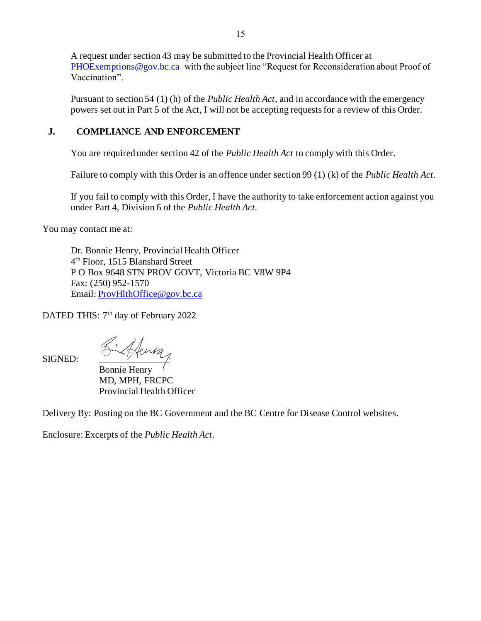A request under section 43 may be submitted to the Provincial Health Officer at [PHOExemptions@gov.bc.ca](mailto:PHOExemptions@gov.bc.ca) with the subject line "Request for Reconsideration about Proof of Vaccination".

Pursuant to section 54 (1) (h) of the *Public Health Act*, and in accordance with the emergency powers set out in Part 5 of the Act, I will not be accepting requests for a review of this Order.

#### **J. COMPLIANCE AND ENFORCEMENT**

You are required under section 42 of the *Public Health Act* to comply with this Order.

Failure to comply with this Order is an offence under section 99 (1) (k) of the *Public Health Act*.

If you fail to comply with this Order, I have the authority to take enforcement action against you under Part 4, Division 6 of the *Public Health Act.*

You may contact me at:

Dr. Bonnie Henry, Provincial Health Officer 4 th Floor, 1515 Blanshard Street P O Box 9648 STN PROV GOVT, Victoria BC V8W 9P4 Fax: (250) 952-1570 Email: [ProvHlthOffice@gov.bc.ca](mailto:ProvHlthOffice@gov.bc.ca)

DATED THIS: 7<sup>th</sup> day of February 2022

SIGNED: Richard

Bonnie Henry MD, MPH, FRCPC Provincial Health Officer

Delivery By: Posting on the BC Government and the BC Centre for Disease Control websites.

Enclosure: Excerpts of the *Public Health Act*.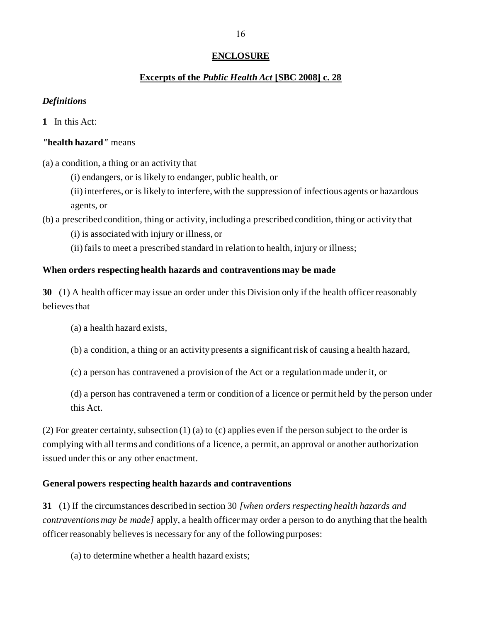#### **ENCLOSURE**

#### **Excerpts of the** *Public Health Act* **[SBC 2008] c. 28**

#### *Definitions*

**1** In this Act:

#### *"***health hazard***"* means

(a) a condition, a thing or an activity that

(i) endangers, or is likely to endanger, public health, or

(ii) interferes, or is likely to interfere, with the suppression of infectious agents or hazardous agents, or

(b) a prescribed condition, thing or activity, including a prescribed condition, thing or activity that

(i) is associated with injury or illness, or

(ii) fails to meet a prescribed standard in relation to health, injury or illness;

#### **When orders respecting health hazards and contraventions may be made**

**30** (1) A health officer may issue an order under this Division only if the health officer reasonably believes that

(a) a health hazard exists,

(b) a condition, a thing or an activity presents a significant risk of causing a health hazard,

(c) a person has contravened a provision of the Act or a regulation made under it, or

(d) a person has contravened a term or condition of a licence or permit held by the person under this Act.

(2) For greater certainty, subsection (1) (a) to (c) applies even if the person subject to the order is complying with all terms and conditions of a licence, a permit, an approval or another authorization issued under this or any other enactment.

#### **General powers respecting health hazards and contraventions**

**31** (1) If the circumstances described in section 30 *[when orders respecting health hazards and contraventions may be made]* apply, a health officer may order a person to do anything that the health officer reasonably believes is necessary for any of the following purposes:

(a) to determine whether a health hazard exists;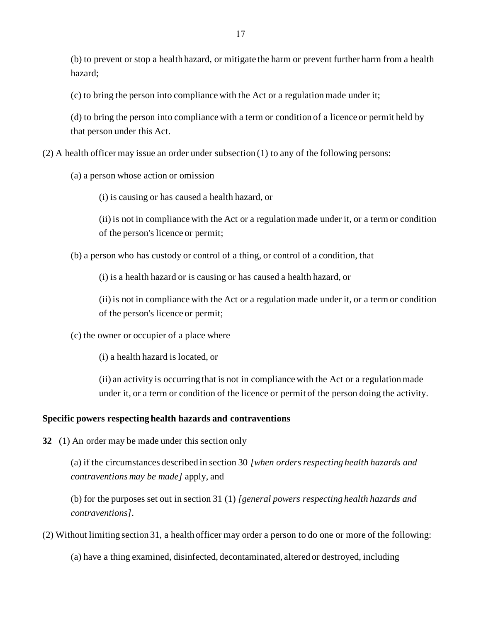(b) to prevent or stop a health hazard, or mitigate the harm or prevent further harm from a health hazard;

(c) to bring the person into compliance with the Act or a regulation made under it;

(d) to bring the person into compliance with a term or condition of a licence or permit held by that person under this Act.

(2) A health officer may issue an order under subsection (1) to any of the following persons:

(a) a person whose action or omission

(i) is causing or has caused a health hazard, or

(ii) is not in compliance with the Act or a regulation made under it, or a term or condition of the person's licence or permit;

(b) a person who has custody or control of a thing, or control of a condition, that

(i) is a health hazard or is causing or has caused a health hazard, or

(ii) is not in compliance with the Act or a regulation made under it, or a term or condition of the person's licence or permit;

(c) the owner or occupier of a place where

(i) a health hazard is located, or

(ii) an activity is occurring that is not in compliance with the Act or a regulation made under it, or a term or condition of the licence or permit of the person doing the activity.

#### **Specific powers respecting health hazards and contraventions**

**32** (1) An order may be made under this section only

(a) if the circumstances described in section 30 *[when orders respecting health hazards and contraventions may be made]* apply, and

(b) for the purposes set out in section 31 (1) *[general powers respecting health hazards and contraventions]*.

(2) Without limiting section 31, a health officer may order a person to do one or more of the following:

(a) have a thing examined, disinfected, decontaminated, altered or destroyed, including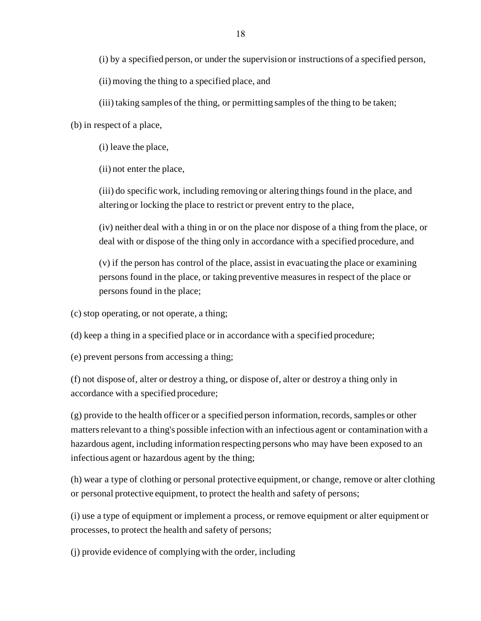(i) by a specified person, or under the supervision or instructions of a specified person,

(ii) moving the thing to a specified place, and

(iii) taking samples of the thing, or permitting samples of the thing to be taken;

(b) in respect of a place,

(i) leave the place,

(ii) not enter the place,

(iii) do specific work, including removing or altering things found in the place, and altering or locking the place to restrict or prevent entry to the place,

(iv) neither deal with a thing in or on the place nor dispose of a thing from the place, or deal with or dispose of the thing only in accordance with a specified procedure, and

(v) if the person has control of the place, assist in evacuating the place or examining persons found in the place, or taking preventive measures in respect of the place or persons found in the place;

(c) stop operating, or not operate, a thing;

(d) keep a thing in a specified place or in accordance with a specified procedure;

(e) prevent persons from accessing a thing;

(f) not dispose of, alter or destroy a thing, or dispose of, alter or destroy a thing only in accordance with a specified procedure;

(g) provide to the health officer or a specified person information, records, samples or other matters relevant to a thing's possible infection with an infectious agent or contamination with a hazardous agent, including information respecting persons who may have been exposed to an infectious agent or hazardous agent by the thing;

(h) wear a type of clothing or personal protective equipment, or change, remove or alter clothing or personal protective equipment, to protect the health and safety of persons;

(i) use a type of equipment or implement a process, or remove equipment or alter equipment or processes, to protect the health and safety of persons;

(j) provide evidence of complying with the order, including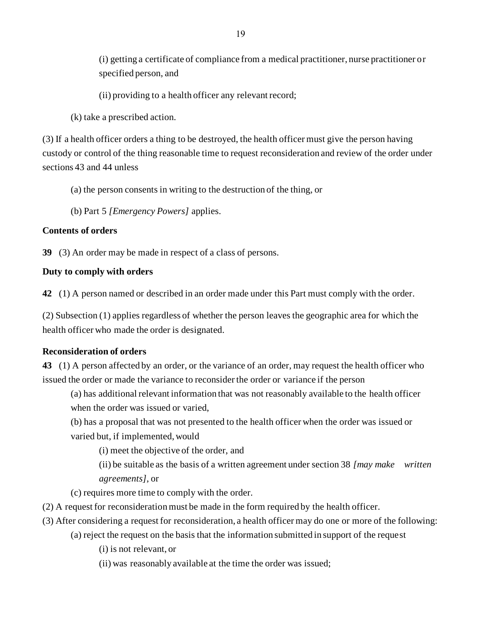(i) getting a certificate of compliance from a medical practitioner, nurse practitioner or specified person, and

(ii) providing to a health officer any relevant record;

(k) take a prescribed action.

(3) If a health officer orders a thing to be destroyed, the health officer must give the person having custody or control of the thing reasonable time to request reconsideration and review of the order under sections 43 and 44 unless

(a) the person consents in writing to the destruction of the thing, or

(b) Part 5 *[Emergency Powers]* applies.

#### **Contents of orders**

**39** (3) An order may be made in respect of a class of persons.

#### **Duty to comply with orders**

**42** (1) A person named or described in an order made under this Part must comply with the order.

(2) Subsection (1) applies regardless of whether the person leaves the geographic area for which the health officer who made the order is designated.

#### **Reconsideration of orders**

**43** (1) A person affected by an order, or the variance of an order, may request the health officer who issued the order or made the variance to reconsider the order or variance if the person

(a) has additional relevant information that was not reasonably available to the health officer when the order was issued or varied,

(b) has a proposal that was not presented to the health officer when the order was issued or varied but, if implemented, would

(i) meet the objective of the order, and

(ii) be suitable as the basis of a written agreement under section 38 *[may make written agreements]*, or

(c) requires more time to comply with the order.

- (2) A request for reconsideration must be made in the form required by the health officer.
- (3) After considering a request for reconsideration, a health officer may do one or more of the following:
	- (a) reject the request on the basis that the information submitted in support of the request
		- (i) is not relevant, or
		- (ii) was reasonably available at the time the order was issued;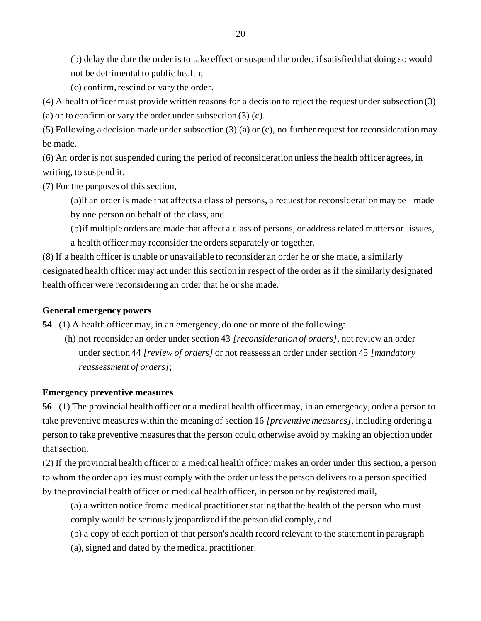(b) delay the date the order is to take effect or suspend the order, if satisfied that doing so would not be detrimental to public health;

(c) confirm, rescind or vary the order.

(4) A health officer must provide written reasons for a decision to reject the request under subsection (3)

(a) or to confirm or vary the order under subsection (3) (c).

(5) Following a decision made under subsection (3) (a) or (c), no further request for reconsideration may be made.

(6) An order is not suspended during the period of reconsideration unless the health officer agrees, in writing, to suspend it.

(7) For the purposes of this section,

(a)if an order is made that affects a class of persons, a request for reconsideration may be made by one person on behalf of the class, and

(b)if multiple orders are made that affect a class of persons, or address related matters or issues, a health officer may reconsider the orders separately or together.

(8) If a health officer is unable or unavailable to reconsider an order he or she made, a similarly designated health officer may act under this section in respect of the order as if the similarly designated health officer were reconsidering an order that he or she made.

#### **General emergency powers**

**54** (1) A health officer may, in an emergency, do one or more of the following:

(h) not reconsider an order under section 43 *[reconsideration of orders]*, not review an order under section 44 *[review of orders]* or not reassess an order under section 45 *[mandatory reassessment of orders]*;

#### **Emergency preventive measures**

**56** (1) The provincial health officer or a medical health officer may, in an emergency, order a person to take preventive measures within the meaning of section 16 *[preventive measures]*, including ordering a person to take preventive measures that the person could otherwise avoid by making an objection under that section.

(2) If the provincial health officer or a medical health officer makes an order under this section, a person to whom the order applies must comply with the order unless the person delivers to a person specified by the provincial health officer or medical health officer, in person or by registered mail,

(a) a written notice from a medical practitioner stating that the health of the person who must comply would be seriously jeopardized if the person did comply, and

(b) a copy of each portion of that person's health record relevant to the statement in paragraph

(a), signed and dated by the medical practitioner.